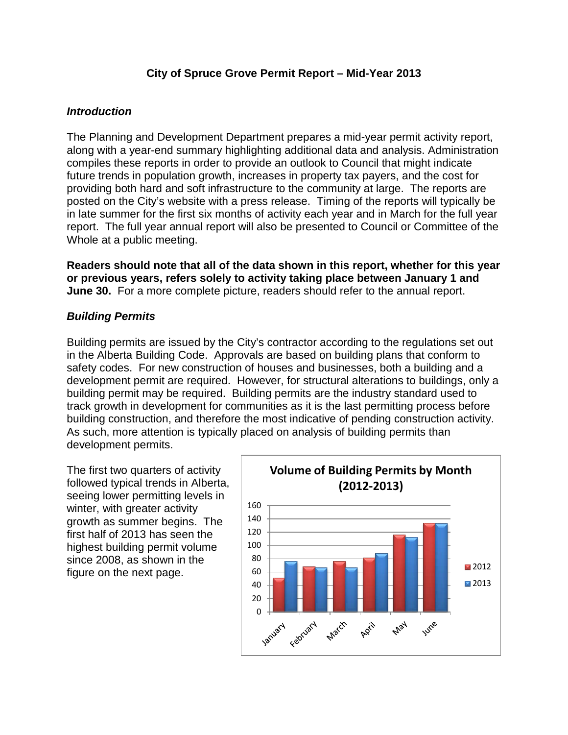# **City of Spruce Grove Permit Report – Mid-Year 2013**

### *Introduction*

The Planning and Development Department prepares a mid-year permit activity report, along with a year-end summary highlighting additional data and analysis. Administration compiles these reports in order to provide an outlook to Council that might indicate future trends in population growth, increases in property tax payers, and the cost for providing both hard and soft infrastructure to the community at large. The reports are posted on the City's website with a press release. Timing of the reports will typically be in late summer for the first six months of activity each year and in March for the full year report. The full year annual report will also be presented to Council or Committee of the Whole at a public meeting.

**Readers should note that all of the data shown in this report, whether for this year or previous years, refers solely to activity taking place between January 1 and June 30.** For a more complete picture, readers should refer to the annual report.

# *Building Permits*

Building permits are issued by the City's contractor according to the regulations set out in the Alberta Building Code. Approvals are based on building plans that conform to safety codes. For new construction of houses and businesses, both a building and a development permit are required. However, for structural alterations to buildings, only a building permit may be required. Building permits are the industry standard used to track growth in development for communities as it is the last permitting process before building construction, and therefore the most indicative of pending construction activity. As such, more attention is typically placed on analysis of building permits than development permits.

The first two quarters of activity followed typical trends in Alberta, seeing lower permitting levels in winter, with greater activity growth as summer begins. The first half of 2013 has seen the highest building permit volume since 2008, as shown in the figure on the next page.

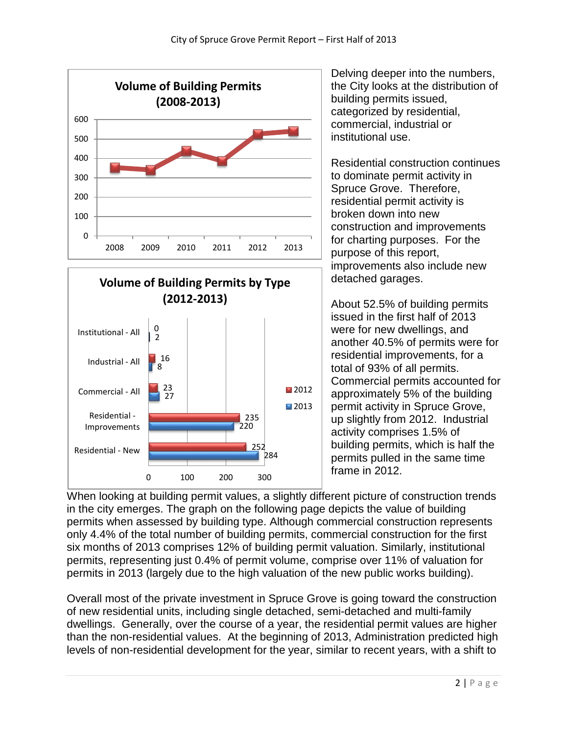



Delving deeper into the numbers, the City looks at the distribution of building permits issued, categorized by residential, commercial, industrial or institutional use.

Residential construction continues to dominate permit activity in Spruce Grove. Therefore, residential permit activity is broken down into new construction and improvements for charting purposes. For the purpose of this report, improvements also include new detached garages.

About 52.5% of building permits issued in the first half of 2013 were for new dwellings, and another 40.5% of permits were for residential improvements, for a total of 93% of all permits. Commercial permits accounted for approximately 5% of the building permit activity in Spruce Grove, up slightly from 2012. Industrial activity comprises 1.5% of building permits, which is half the permits pulled in the same time frame in 2012.

When looking at building permit values, a slightly different picture of construction trends in the city emerges. The graph on the following page depicts the value of building permits when assessed by building type. Although commercial construction represents only 4.4% of the total number of building permits, commercial construction for the first six months of 2013 comprises 12% of building permit valuation. Similarly, institutional permits, representing just 0.4% of permit volume, comprise over 11% of valuation for permits in 2013 (largely due to the high valuation of the new public works building).

Overall most of the private investment in Spruce Grove is going toward the construction of new residential units, including single detached, semi-detached and multi-family dwellings. Generally, over the course of a year, the residential permit values are higher than the non-residential values. At the beginning of 2013, Administration predicted high levels of non-residential development for the year, similar to recent years, with a shift to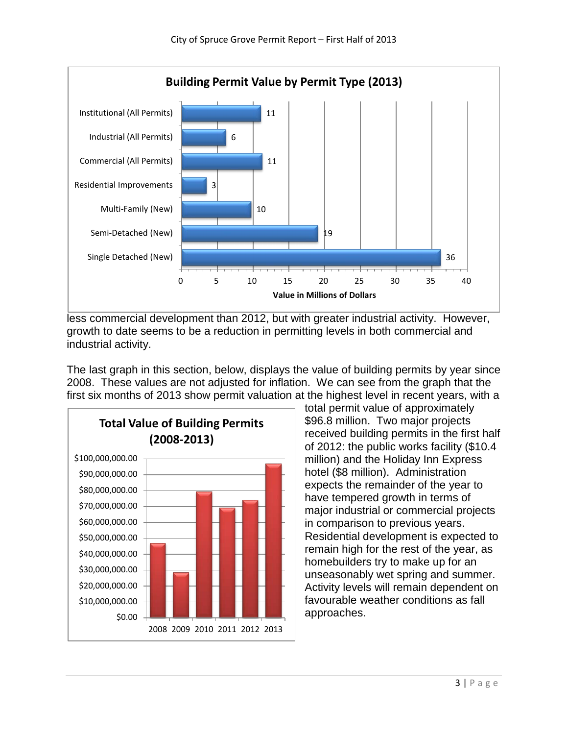

less commercial development than 2012, but with greater industrial activity. However, growth to date seems to be a reduction in permitting levels in both commercial and industrial activity.

The last graph in this section, below, displays the value of building permits by year since 2008. These values are not adjusted for inflation. We can see from the graph that the first six months of 2013 show permit valuation at the highest level in recent years, with a



total permit value of approximately \$96.8 million. Two major projects received building permits in the first half of 2012: the public works facility (\$10.4 million) and the Holiday Inn Express hotel (\$8 million). Administration expects the remainder of the year to have tempered growth in terms of major industrial or commercial projects in comparison to previous years. Residential development is expected to remain high for the rest of the year, as homebuilders try to make up for an unseasonably wet spring and summer. Activity levels will remain dependent on favourable weather conditions as fall approaches.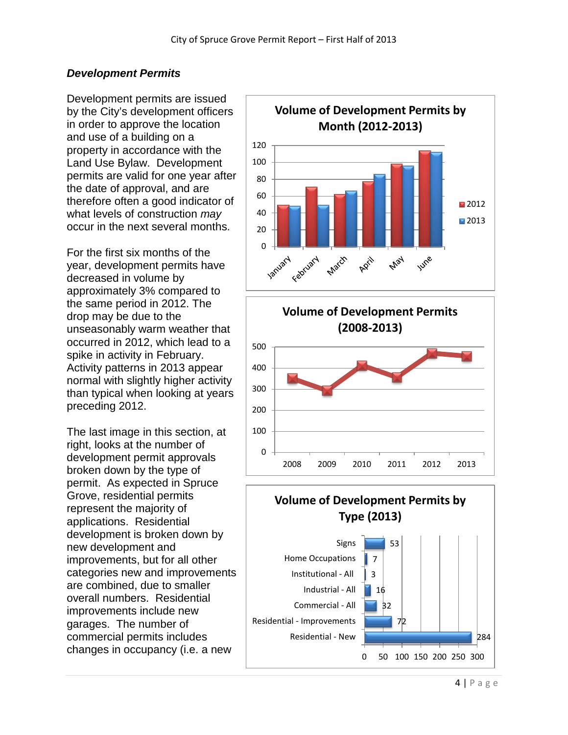# *Development Permits*

Development permits are issued by the City's development officers in order to approve the location and use of a building on a property in accordance with the Land Use Bylaw. Development permits are valid for one year after the date of approval, and are therefore often a good indicator of what levels of construction *may* occur in the next several months.

For the first six months of the year, development permits have decreased in volume by approximately 3% compared to the same period in 2012. The drop may be due to the unseasonably warm weather that occurred in 2012, which lead to a spike in activity in February. Activity patterns in 2013 appear normal with slightly higher activity than typical when looking at years preceding 2012.

The last image in this section, at right, looks at the number of development permit approvals broken down by the type of permit. As expected in Spruce Grove, residential permits represent the majority of applications. Residential development is broken down by new development and improvements, but for all other categories new and improvements are combined, due to smaller overall numbers. Residential improvements include new garages. The number of commercial permits includes changes in occupancy (i.e. a new





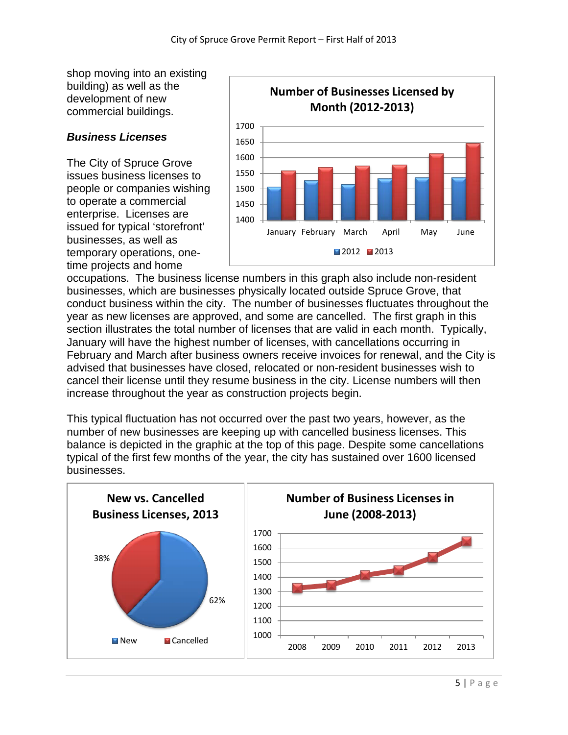shop moving into an existing building) as well as the development of new commercial buildings.

#### *Business Licenses*

The City of Spruce Grove issues business licenses to people or companies wishing to operate a commercial enterprise. Licenses are issued for typical 'storefront' businesses, as well as temporary operations, onetime projects and home



occupations. The business license numbers in this graph also include non-resident businesses, which are businesses physically located outside Spruce Grove, that conduct business within the city. The number of businesses fluctuates throughout the year as new licenses are approved, and some are cancelled. The first graph in this section illustrates the total number of licenses that are valid in each month. Typically, January will have the highest number of licenses, with cancellations occurring in February and March after business owners receive invoices for renewal, and the City is advised that businesses have closed, relocated or non-resident businesses wish to cancel their license until they resume business in the city. License numbers will then increase throughout the year as construction projects begin.

This typical fluctuation has not occurred over the past two years, however, as the number of new businesses are keeping up with cancelled business licenses. This balance is depicted in the graphic at the top of this page. Despite some cancellations typical of the first few months of the year, the city has sustained over 1600 licensed businesses.

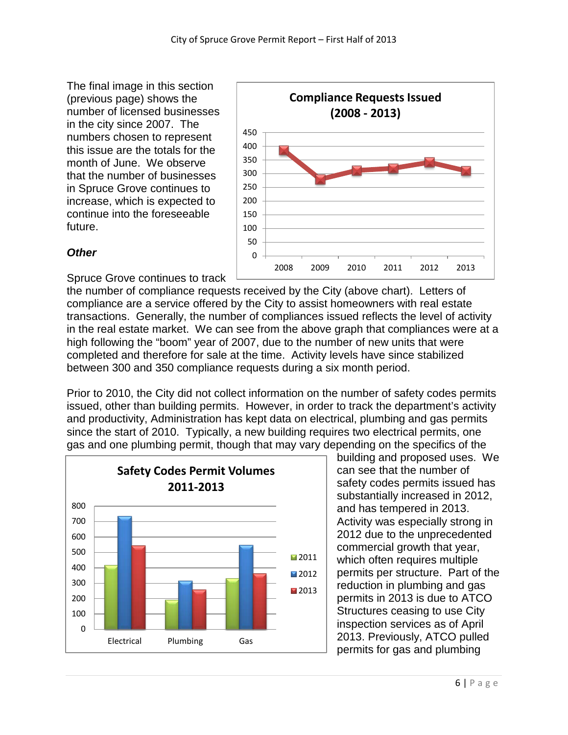The final image in this section (previous page) shows the number of licensed businesses in the city since 2007. The numbers chosen to represent this issue are the totals for the month of June. We observe that the number of businesses in Spruce Grove continues to increase, which is expected to continue into the foreseeable future.



# *Other*

Spruce Grove continues to track

the number of compliance requests received by the City (above chart). Letters of compliance are a service offered by the City to assist homeowners with real estate transactions. Generally, the number of compliances issued reflects the level of activity in the real estate market. We can see from the above graph that compliances were at a high following the "boom" year of 2007, due to the number of new units that were completed and therefore for sale at the time. Activity levels have since stabilized between 300 and 350 compliance requests during a six month period.

Prior to 2010, the City did not collect information on the number of safety codes permits issued, other than building permits. However, in order to track the department's activity and productivity, Administration has kept data on electrical, plumbing and gas permits since the start of 2010. Typically, a new building requires two electrical permits, one gas and one plumbing permit, though that may vary depending on the specifics of the



building and proposed uses. We can see that the number of safety codes permits issued has substantially increased in 2012, and has tempered in 2013. Activity was especially strong in 2012 due to the unprecedented commercial growth that year, which often requires multiple permits per structure. Part of the reduction in plumbing and gas permits in 2013 is due to ATCO Structures ceasing to use City inspection services as of April 2013. Previously, ATCO pulled permits for gas and plumbing